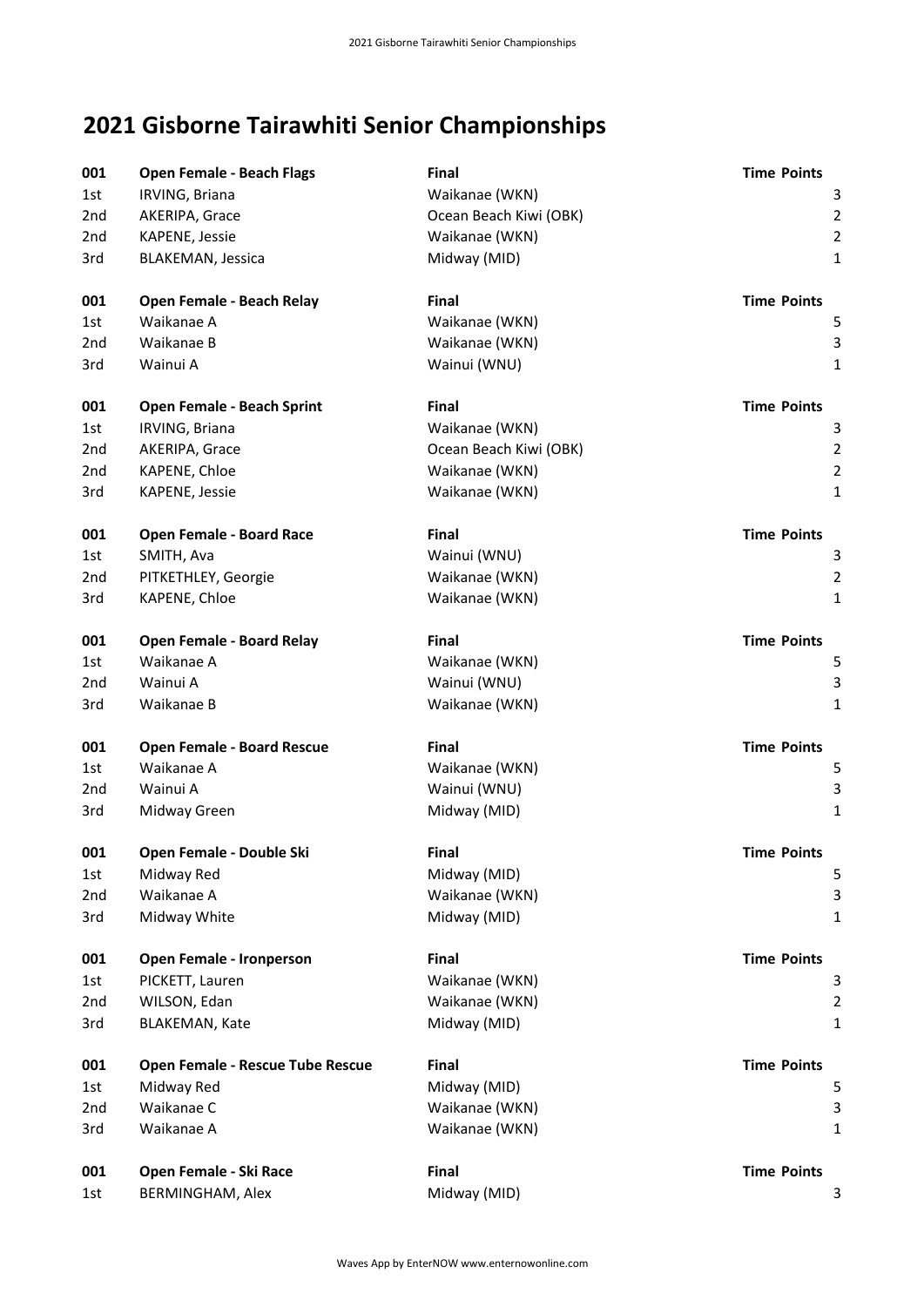## **2021 Gisborne Tairawhiti Senior Championships**

| 001             | <b>Open Female - Beach Flags</b>  | Final                  | <b>Time Points</b> |
|-----------------|-----------------------------------|------------------------|--------------------|
| 1st             | IRVING, Briana                    | Waikanae (WKN)         | 3                  |
| 2nd             | AKERIPA, Grace                    | Ocean Beach Kiwi (OBK) | $\overline{2}$     |
| 2nd             | KAPENE, Jessie                    | Waikanae (WKN)         | $\overline{2}$     |
| 3rd             | <b>BLAKEMAN, Jessica</b>          | Midway (MID)           | $\mathbf{1}$       |
| 001             | Open Female - Beach Relay         | Final                  | <b>Time Points</b> |
| 1st             | Waikanae A                        | Waikanae (WKN)         | 5                  |
| 2 <sub>nd</sub> | Waikanae B                        | Waikanae (WKN)         | 3                  |
| 3rd             | Wainui A                          | Wainui (WNU)           | $\mathbf{1}$       |
| 001             | Open Female - Beach Sprint        | Final                  | <b>Time Points</b> |
| 1st.            | IRVING, Briana                    | Waikanae (WKN)         | 3                  |
| 2nd             | AKERIPA, Grace                    | Ocean Beach Kiwi (OBK) | $\overline{2}$     |
| 2nd             | KAPENE, Chloe                     | Waikanae (WKN)         | $\overline{2}$     |
| 3rd             | KAPENE, Jessie                    | Waikanae (WKN)         | $\mathbf{1}$       |
| 001             | Open Female - Board Race          | <b>Final</b>           | <b>Time Points</b> |
| 1st             | SMITH, Ava                        | Wainui (WNU)           | 3                  |
| 2nd             | PITKETHLEY, Georgie               | Waikanae (WKN)         | $\overline{2}$     |
| 3rd             | KAPENE, Chloe                     | Waikanae (WKN)         | $\mathbf{1}$       |
| 001             | <b>Open Female - Board Relay</b>  | Final                  | <b>Time Points</b> |
| 1st             | Waikanae A                        | Waikanae (WKN)         | 5                  |
| 2nd             | Wainui A                          | Wainui (WNU)           | 3                  |
| 3rd             | Waikanae B                        | Waikanae (WKN)         | $\mathbf{1}$       |
| 001             | <b>Open Female - Board Rescue</b> | Final                  | <b>Time Points</b> |
| 1st.            | Waikanae A                        | Waikanae (WKN)         | 5                  |
| 2 <sub>nd</sub> | Wainui A                          | Wainui (WNU)           | 3                  |
| 3rd             | Midway Green                      | Midway (MID)           | $\mathbf{1}$       |
| 001             | Open Female - Double Ski          | <b>Final</b>           | <b>Time Points</b> |
| 1st             | Midway Red                        | Midway (MID)           | 5                  |
| 2nd             | Waikanae A                        | Waikanae (WKN)         | 3                  |
| 3rd             | Midway White                      | Midway (MID)           | $\mathbf{1}$       |
| 001             | Open Female - Ironperson          | <b>Final</b>           | <b>Time Points</b> |
| 1st             | PICKETT, Lauren                   | Waikanae (WKN)         | 3                  |
| 2nd             | WILSON, Edan                      | Waikanae (WKN)         | $\overline{2}$     |
| 3rd             | <b>BLAKEMAN, Kate</b>             | Midway (MID)           | 1                  |
| 001             | Open Female - Rescue Tube Rescue  | Final                  | <b>Time Points</b> |
| 1st             | Midway Red                        | Midway (MID)           | 5                  |
| 2 <sub>nd</sub> | Waikanae C                        | Waikanae (WKN)         | 3                  |
| 3rd             | Waikanae A                        | Waikanae (WKN)         | 1                  |
| 001             | Open Female - Ski Race            | Final                  | <b>Time Points</b> |
| 1st             | <b>BERMINGHAM, Alex</b>           | Midway (MID)           | 3                  |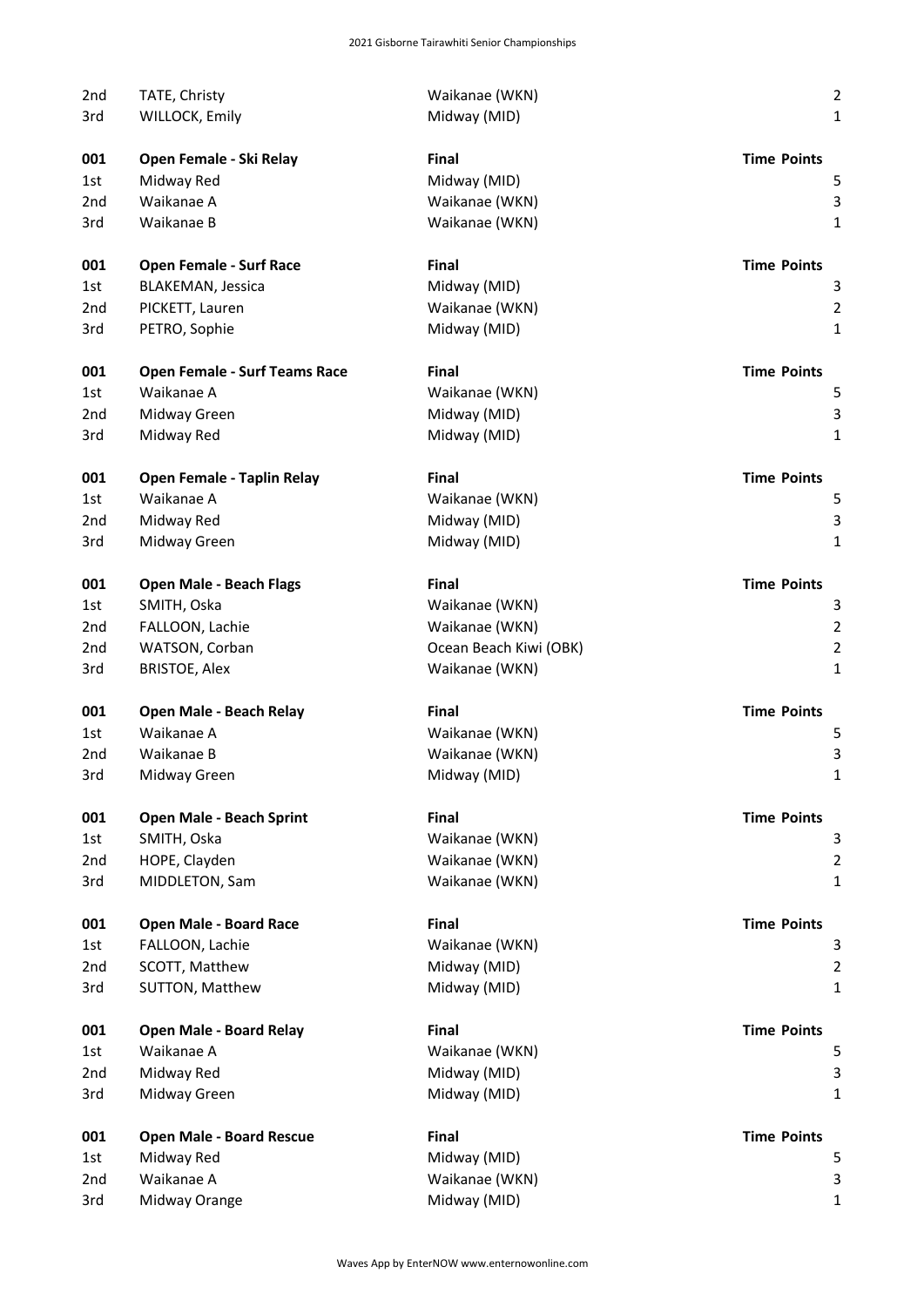| 2nd             | TATE, Christy                        | Waikanae (WKN)         | $\overline{2}$     |
|-----------------|--------------------------------------|------------------------|--------------------|
| 3rd             | WILLOCK, Emily                       | Midway (MID)           | $\mathbf{1}$       |
|                 |                                      |                        |                    |
| 001             | Open Female - Ski Relay              | <b>Final</b>           | <b>Time Points</b> |
| 1st             | Midway Red<br>Waikanae A             | Midway (MID)           | 5                  |
| 2nd             |                                      | Waikanae (WKN)         | 3                  |
| 3rd             | Waikanae B                           | Waikanae (WKN)         | $\mathbf{1}$       |
| 001             | <b>Open Female - Surf Race</b>       | <b>Final</b>           | <b>Time Points</b> |
| 1st             | <b>BLAKEMAN, Jessica</b>             | Midway (MID)           | 3                  |
| 2nd             | PICKETT, Lauren                      | Waikanae (WKN)         | $\overline{2}$     |
| 3rd             | PETRO, Sophie                        | Midway (MID)           | $\mathbf{1}$       |
| 001             | <b>Open Female - Surf Teams Race</b> | <b>Final</b>           | <b>Time Points</b> |
| 1st             | Waikanae A                           | Waikanae (WKN)         | 5                  |
| 2nd             | Midway Green                         | Midway (MID)           | 3                  |
| 3rd             | Midway Red                           | Midway (MID)           | $\mathbf{1}$       |
| 001             | <b>Open Female - Taplin Relay</b>    | <b>Final</b>           | <b>Time Points</b> |
| 1st             | Waikanae A                           | Waikanae (WKN)         | 5                  |
| 2 <sub>nd</sub> | Midway Red                           | Midway (MID)           | 3                  |
| 3rd             | Midway Green                         | Midway (MID)           | $\mathbf{1}$       |
|                 |                                      |                        |                    |
| 001             | <b>Open Male - Beach Flags</b>       | <b>Final</b>           | <b>Time Points</b> |
| 1st             | SMITH, Oska                          | Waikanae (WKN)         | 3                  |
| 2 <sub>nd</sub> | FALLOON, Lachie                      | Waikanae (WKN)         | $\overline{2}$     |
| 2nd             | WATSON, Corban                       | Ocean Beach Kiwi (OBK) | $\overline{2}$     |
| 3rd             | <b>BRISTOE, Alex</b>                 | Waikanae (WKN)         | $\mathbf{1}$       |
| 001             | Open Male - Beach Relay              | <b>Final</b>           | <b>Time Points</b> |
| 1st             | Waikanae A                           | Waikanae (WKN)         | 5                  |
| 2nd             | Waikanae B                           | Waikanae (WKN)         | $\mathsf 3$        |
| 3rd             | Midway Green                         | Midway (MID)           | 1                  |
| 001             | <b>Open Male - Beach Sprint</b>      | Final                  | <b>Time Points</b> |
| 1st             | SMITH, Oska                          | Waikanae (WKN)         | 3                  |
| 2 <sub>nd</sub> | HOPE, Clayden                        | Waikanae (WKN)         | $\overline{2}$     |
| 3rd             | MIDDLETON, Sam                       | Waikanae (WKN)         | $\mathbf{1}$       |
| 001             | <b>Open Male - Board Race</b>        | Final                  | <b>Time Points</b> |
| 1st             | FALLOON, Lachie                      | Waikanae (WKN)         | 3                  |
| 2nd             | SCOTT, Matthew                       | Midway (MID)           | $\overline{2}$     |
| 3rd             | SUTTON, Matthew                      | Midway (MID)           | $\mathbf{1}$       |
| 001             | <b>Open Male - Board Relay</b>       | Final                  | <b>Time Points</b> |
| 1st             | Waikanae A                           | Waikanae (WKN)         | 5                  |
| 2 <sub>nd</sub> | Midway Red                           | Midway (MID)           | $\mathsf 3$        |
| 3rd             | Midway Green                         | Midway (MID)           | 1                  |
|                 |                                      |                        |                    |
| 001             | <b>Open Male - Board Rescue</b>      | Final                  | <b>Time Points</b> |
| 1st             | Midway Red                           | Midway (MID)           | 5                  |
| 2nd             | Waikanae A                           | Waikanae (WKN)         | 3                  |
| 3rd             | Midway Orange                        | Midway (MID)           | $\mathbf{1}$       |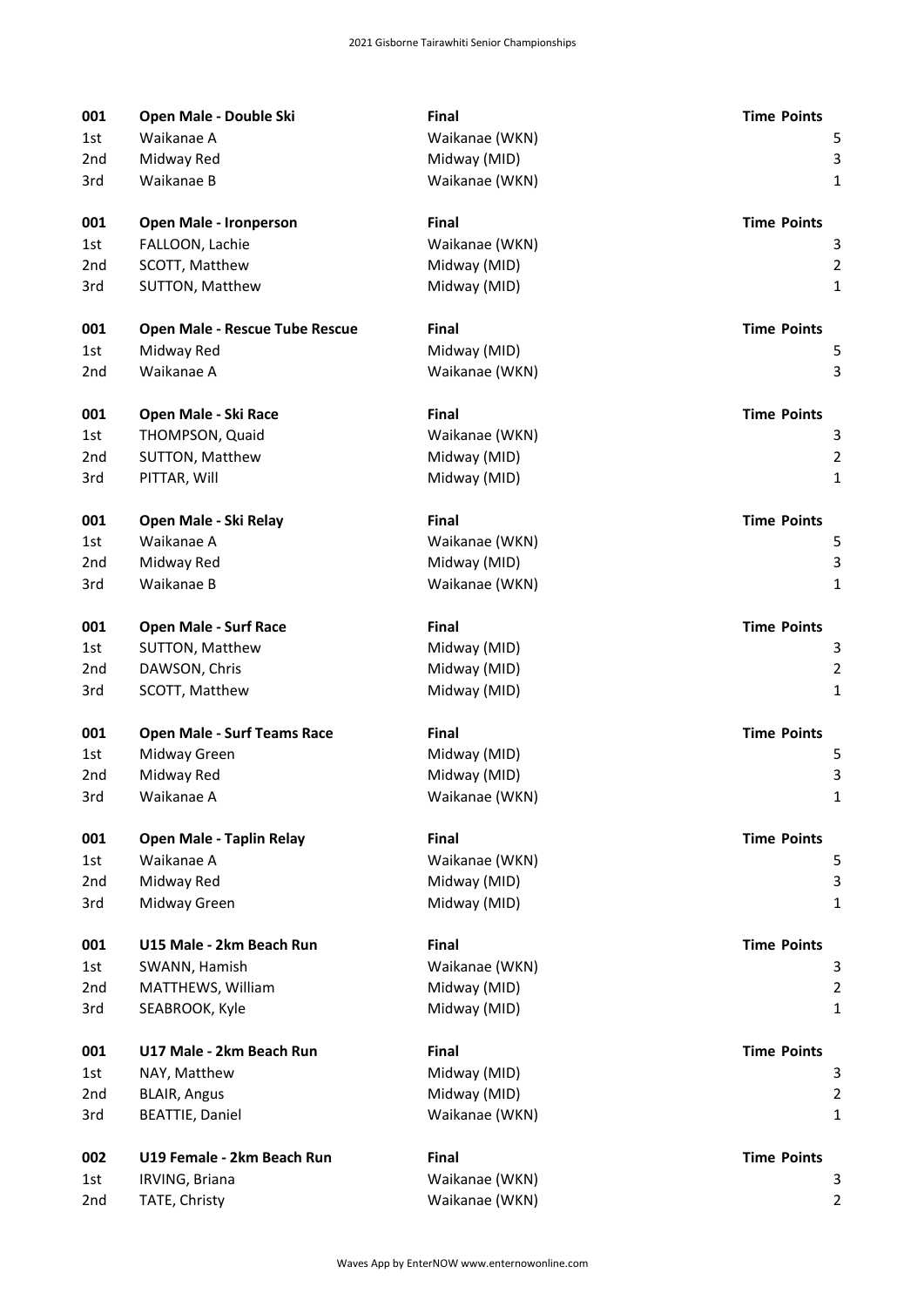| 001 | Open Male - Double Ski             | <b>Final</b>   | <b>Time Points</b> |
|-----|------------------------------------|----------------|--------------------|
| 1st | Waikanae A                         | Waikanae (WKN) | 5                  |
| 2nd | Midway Red                         | Midway (MID)   | 3                  |
| 3rd | Waikanae B                         | Waikanae (WKN) | $\mathbf{1}$       |
| 001 | <b>Open Male - Ironperson</b>      | <b>Final</b>   | <b>Time Points</b> |
| 1st | FALLOON, Lachie                    | Waikanae (WKN) | 3                  |
| 2nd | SCOTT, Matthew                     | Midway (MID)   | $\overline{2}$     |
| 3rd | SUTTON, Matthew                    | Midway (MID)   | $\mathbf 1$        |
| 001 | Open Male - Rescue Tube Rescue     | <b>Final</b>   | <b>Time Points</b> |
| 1st | Midway Red                         | Midway (MID)   | 5                  |
| 2nd | Waikanae A                         | Waikanae (WKN) | 3                  |
| 001 | Open Male - Ski Race               | Final          | <b>Time Points</b> |
| 1st | THOMPSON, Quaid                    | Waikanae (WKN) | 3                  |
| 2nd | SUTTON, Matthew                    | Midway (MID)   | $\overline{2}$     |
| 3rd | PITTAR, Will                       | Midway (MID)   | $\mathbf{1}$       |
| 001 | Open Male - Ski Relay              | Final          | <b>Time Points</b> |
| 1st | Waikanae A                         | Waikanae (WKN) | 5                  |
| 2nd | Midway Red                         | Midway (MID)   | 3                  |
| 3rd | Waikanae B                         | Waikanae (WKN) | $\mathbf 1$        |
| 001 | <b>Open Male - Surf Race</b>       | <b>Final</b>   | <b>Time Points</b> |
| 1st | SUTTON, Matthew                    | Midway (MID)   | 3                  |
| 2nd | DAWSON, Chris                      | Midway (MID)   | $\overline{2}$     |
| 3rd | SCOTT, Matthew                     | Midway (MID)   | $\mathbf 1$        |
| 001 | <b>Open Male - Surf Teams Race</b> | <b>Final</b>   | <b>Time Points</b> |
| 1st | Midway Green                       | Midway (MID)   | 5                  |
| 2nd | Midway Red                         | Midway (MID)   | 3                  |
| 3rd | Waikanae A                         | Waikanae (WKN) | 1                  |
| 001 | <b>Open Male - Taplin Relay</b>    | <b>Final</b>   | <b>Time Points</b> |
| 1st | Waikanae A                         | Waikanae (WKN) | 5                  |
| 2nd | Midway Red                         | Midway (MID)   | 3                  |
| 3rd | Midway Green                       | Midway (MID)   | $\mathbf{1}$       |
| 001 | U15 Male - 2km Beach Run           | <b>Final</b>   | <b>Time Points</b> |
| 1st | SWANN, Hamish                      | Waikanae (WKN) | 3                  |
| 2nd | MATTHEWS, William                  | Midway (MID)   | $\overline{2}$     |
| 3rd | SEABROOK, Kyle                     | Midway (MID)   | $\mathbf{1}$       |
| 001 | U17 Male - 2km Beach Run           | Final          | <b>Time Points</b> |
| 1st | NAY, Matthew                       | Midway (MID)   | 3                  |
| 2nd | <b>BLAIR, Angus</b>                | Midway (MID)   | $\overline{2}$     |
| 3rd | <b>BEATTIE, Daniel</b>             | Waikanae (WKN) | $\mathbf{1}$       |
| 002 | U19 Female - 2km Beach Run         | <b>Final</b>   | <b>Time Points</b> |
| 1st | IRVING, Briana                     | Waikanae (WKN) | 3                  |
| 2nd | TATE, Christy                      | Waikanae (WKN) | $\overline{2}$     |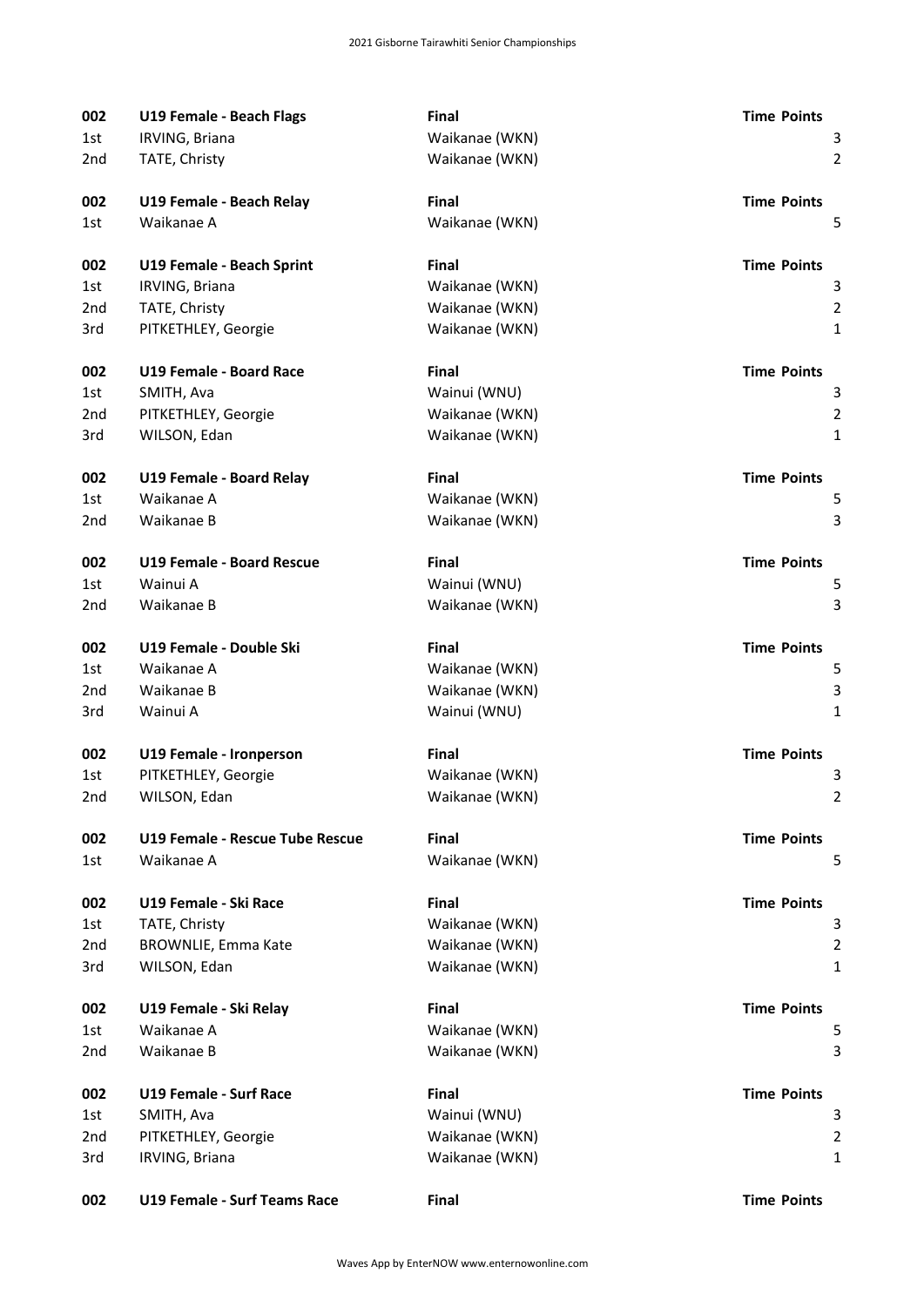| 002             | U19 Female - Beach Flags            | <b>Final</b>   | <b>Time Points</b> |
|-----------------|-------------------------------------|----------------|--------------------|
| 1st             | IRVING, Briana                      | Waikanae (WKN) | 3                  |
| 2nd             | TATE, Christy                       | Waikanae (WKN) | $\overline{2}$     |
| 002             | U19 Female - Beach Relay            | <b>Final</b>   | <b>Time Points</b> |
| 1st.            | Waikanae A                          | Waikanae (WKN) | 5                  |
| 002             | U19 Female - Beach Sprint           | Final          | <b>Time Points</b> |
| 1st             | IRVING, Briana                      | Waikanae (WKN) | 3                  |
| 2nd             | TATE, Christy                       | Waikanae (WKN) | $\overline{2}$     |
| 3rd             | PITKETHLEY, Georgie                 | Waikanae (WKN) | $\mathbf{1}$       |
| 002             | U19 Female - Board Race             | Final          | <b>Time Points</b> |
| 1st             | SMITH, Ava                          | Wainui (WNU)   | 3                  |
| 2 <sub>nd</sub> | PITKETHLEY, Georgie                 | Waikanae (WKN) | $\overline{2}$     |
| 3rd             | WILSON, Edan                        | Waikanae (WKN) | $\mathbf{1}$       |
| 002             | U19 Female - Board Relay            | <b>Final</b>   | <b>Time Points</b> |
| 1st             | Waikanae A                          | Waikanae (WKN) | 5                  |
| 2nd             | Waikanae B                          | Waikanae (WKN) | 3                  |
| 002             | U19 Female - Board Rescue           | <b>Final</b>   | <b>Time Points</b> |
| 1st             | Wainui A                            | Wainui (WNU)   | 5                  |
| 2nd             | Waikanae B                          | Waikanae (WKN) | 3                  |
| 002             | U19 Female - Double Ski             | Final          | <b>Time Points</b> |
| 1st             | Waikanae A                          | Waikanae (WKN) | 5                  |
| 2 <sub>nd</sub> | Waikanae B                          | Waikanae (WKN) | 3                  |
| 3rd             | Wainui A                            | Wainui (WNU)   | $\mathbf{1}$       |
| 002             | U19 Female - Ironperson             | <b>Final</b>   | <b>Time Points</b> |
| 1st             | PITKETHLEY, Georgie                 | Waikanae (WKN) | 3                  |
| 2nd             | WILSON, Edan                        | Waikanae (WKN) | $\overline{2}$     |
| 002             | U19 Female - Rescue Tube Rescue     | Final          | <b>Time Points</b> |
| 1st             | Waikanae A                          | Waikanae (WKN) | 5                  |
| 002             | U19 Female - Ski Race               | <b>Final</b>   | <b>Time Points</b> |
| 1st             | TATE, Christy                       | Waikanae (WKN) | 3                  |
| 2nd             | <b>BROWNLIE, Emma Kate</b>          | Waikanae (WKN) | $\overline{2}$     |
| 3rd             | WILSON, Edan                        | Waikanae (WKN) | $\mathbf{1}$       |
| 002             | U19 Female - Ski Relay              | <b>Final</b>   | <b>Time Points</b> |
| 1st             | Waikanae A                          | Waikanae (WKN) | 5                  |
| 2nd             | Waikanae B                          | Waikanae (WKN) | 3                  |
| 002             | <b>U19 Female - Surf Race</b>       | <b>Final</b>   | <b>Time Points</b> |
| 1st             | SMITH, Ava                          | Wainui (WNU)   | 3                  |
| 2nd             | PITKETHLEY, Georgie                 | Waikanae (WKN) | $\overline{2}$     |
| 3rd             | IRVING, Briana                      | Waikanae (WKN) | $\mathbf 1$        |
| 002             | <b>U19 Female - Surf Teams Race</b> | <b>Final</b>   | <b>Time Points</b> |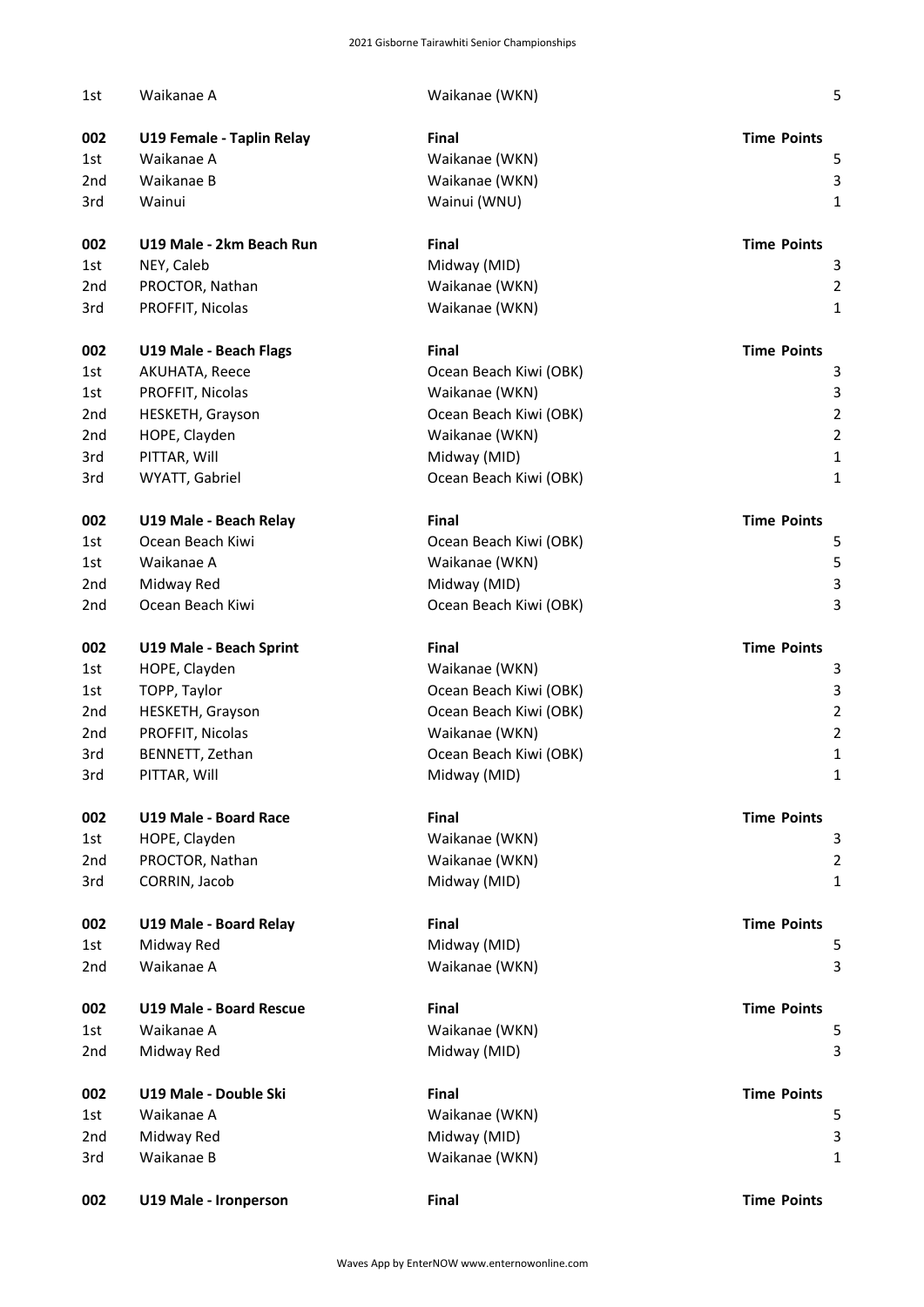| 1st             | Waikanae A                     | Waikanae (WKN)         | 5                       |
|-----------------|--------------------------------|------------------------|-------------------------|
| 002             | U19 Female - Taplin Relay      | <b>Final</b>           | <b>Time Points</b>      |
| 1st             | Waikanae A                     | Waikanae (WKN)         | 5                       |
| 2nd             | Waikanae B                     | Waikanae (WKN)         | 3                       |
| 3rd             | Wainui                         | Wainui (WNU)           | 1                       |
| 002             | U19 Male - 2km Beach Run       | <b>Final</b>           | <b>Time Points</b>      |
| 1st             | NEY, Caleb                     | Midway (MID)           | 3                       |
| 2nd             | PROCTOR, Nathan                | Waikanae (WKN)         | $\overline{\mathbf{c}}$ |
| 3rd             | PROFFIT, Nicolas               | Waikanae (WKN)         | 1                       |
| 002             | U19 Male - Beach Flags         | <b>Final</b>           | <b>Time Points</b>      |
| 1st             | AKUHATA, Reece                 | Ocean Beach Kiwi (OBK) | 3                       |
| 1st             | PROFFIT, Nicolas               | Waikanae (WKN)         | 3                       |
| 2nd             | HESKETH, Grayson               | Ocean Beach Kiwi (OBK) | $\overline{\mathbf{c}}$ |
| 2nd             | HOPE, Clayden                  | Waikanae (WKN)         | $\overline{\mathbf{c}}$ |
| 3rd             | PITTAR, Will                   | Midway (MID)           | 1                       |
| 3rd             | WYATT, Gabriel                 | Ocean Beach Kiwi (OBK) | 1                       |
| 002             | U19 Male - Beach Relay         | <b>Final</b>           | <b>Time Points</b>      |
| 1st             | Ocean Beach Kiwi               | Ocean Beach Kiwi (OBK) | 5                       |
| 1st             | Waikanae A                     | Waikanae (WKN)         | 5                       |
| 2nd             | Midway Red                     | Midway (MID)           | 3                       |
| 2nd             | Ocean Beach Kiwi               | Ocean Beach Kiwi (OBK) | 3                       |
| 002             | U19 Male - Beach Sprint        | <b>Final</b>           | <b>Time Points</b>      |
| 1st             | HOPE, Clayden                  | Waikanae (WKN)         | 3                       |
| 1st             | TOPP, Taylor                   | Ocean Beach Kiwi (OBK) | 3                       |
| 2nd             | HESKETH, Grayson               | Ocean Beach Kiwi (OBK) | $\overline{\mathbf{c}}$ |
| 2nd             | PROFFIT, Nicolas               | Waikanae (WKN)         | $\overline{\mathbf{c}}$ |
| 3rd             | BENNETT, Zethan                | Ocean Beach Kiwi (OBK) | 1                       |
| 3rd             | PITTAR, Will                   | Midway (MID)           | L                       |
| 002             | <b>U19 Male - Board Race</b>   | Final                  | <b>Time Points</b>      |
| 1st             | HOPE, Clayden                  | Waikanae (WKN)         | 3                       |
| 2 <sub>nd</sub> | PROCTOR, Nathan                | Waikanae (WKN)         | $\overline{\mathbf{c}}$ |
| 3rd             | CORRIN, Jacob                  | Midway (MID)           | 1                       |
| 002             | U19 Male - Board Relay         | <b>Final</b>           | <b>Time Points</b>      |
| 1st             | Midway Red                     | Midway (MID)           | 5                       |
| 2nd             | Waikanae A                     | Waikanae (WKN)         | 3                       |
| 002             | <b>U19 Male - Board Rescue</b> | Final                  | <b>Time Points</b>      |
| 1st             | Waikanae A                     | Waikanae (WKN)         | 5                       |
| 2nd             | Midway Red                     | Midway (MID)           | 3                       |
| 002             | U19 Male - Double Ski          | <b>Final</b>           | <b>Time Points</b>      |
| 1st             | Waikanae A                     | Waikanae (WKN)         | 5                       |
| 2nd             | Midway Red                     | Midway (MID)           | 3                       |
| 3rd             | Waikanae B                     | Waikanae (WKN)         | 1                       |
| 002             | U19 Male - Ironperson          | Final                  | <b>Time Points</b>      |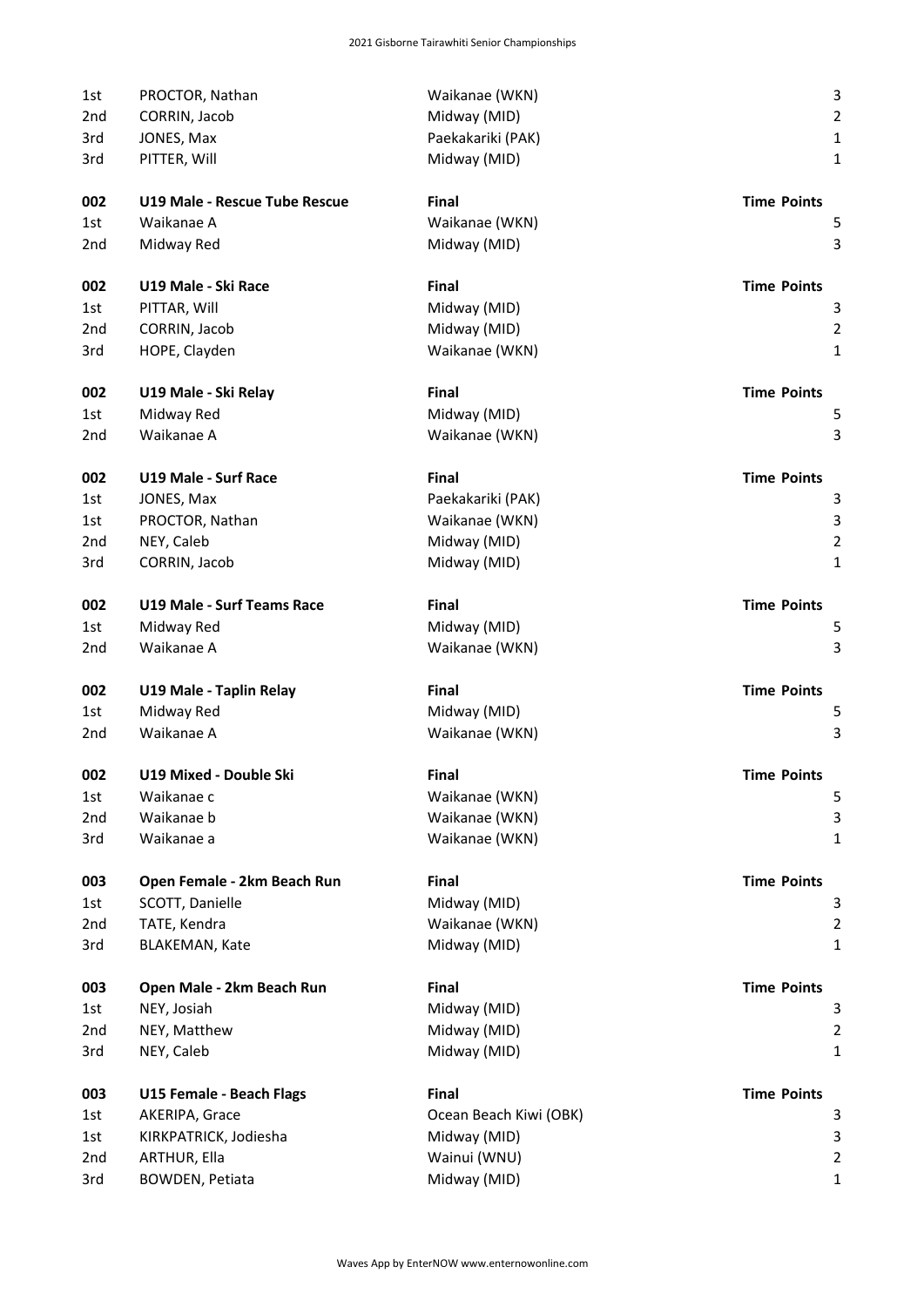| 1st             | PROCTOR, Nathan                   | Waikanae (WKN)         | 3                       |
|-----------------|-----------------------------------|------------------------|-------------------------|
| 2nd             | CORRIN, Jacob                     | Midway (MID)           | $\overline{c}$          |
| 3rd             | JONES, Max                        | Paekakariki (PAK)      | $\mathbf{1}$            |
| 3rd             | PITTER, Will                      | Midway (MID)           | $\mathbf{1}$            |
| 002             | U19 Male - Rescue Tube Rescue     | Final                  | <b>Time Points</b>      |
| 1st             | Waikanae A                        | Waikanae (WKN)         | 5                       |
| 2 <sub>nd</sub> | Midway Red                        | Midway (MID)           | 3                       |
| 002             | U19 Male - Ski Race               | Final                  | <b>Time Points</b>      |
| 1st             | PITTAR, Will                      | Midway (MID)           | 3                       |
| 2 <sub>nd</sub> | CORRIN, Jacob                     | Midway (MID)           | $\overline{\mathbf{c}}$ |
| 3rd             | HOPE, Clayden                     | Waikanae (WKN)         | $\mathbf{1}$            |
| 002             | U19 Male - Ski Relay              | Final                  | <b>Time Points</b>      |
| 1st             | Midway Red                        | Midway (MID)           | 5                       |
| 2nd             | Waikanae A                        | Waikanae (WKN)         | 3                       |
| 002             | U19 Male - Surf Race              | Final                  | <b>Time Points</b>      |
| 1st             | JONES, Max                        | Paekakariki (PAK)      | 3                       |
| 1st             | PROCTOR, Nathan                   | Waikanae (WKN)         | 3                       |
| 2 <sub>nd</sub> | NEY, Caleb                        | Midway (MID)           | $\overline{\mathbf{c}}$ |
| 3rd             | CORRIN, Jacob                     | Midway (MID)           | $\mathbf{1}$            |
| 002             | <b>U19 Male - Surf Teams Race</b> | Final                  | <b>Time Points</b>      |
| 1st             | Midway Red                        | Midway (MID)           | 5                       |
| 2 <sub>nd</sub> | Waikanae A                        | Waikanae (WKN)         | 3                       |
| 002             | U19 Male - Taplin Relay           | Final                  | <b>Time Points</b>      |
| 1st             | Midway Red                        | Midway (MID)           | 5                       |
| 2 <sub>nd</sub> | Waikanae A                        | Waikanae (WKN)         | 3                       |
| 002             | U19 Mixed - Double Ski            | Final                  | <b>Time Points</b>      |
| 1st             | Waikanae c                        | Waikanae (WKN)         | 5                       |
| 2nd             | Waikanae b                        | Waikanae (WKN)         | 3                       |
| 3rd             | Waikanae a                        | Waikanae (WKN)         | 1                       |
| 003             | Open Female - 2km Beach Run       | Final                  | <b>Time Points</b>      |
| 1st             | SCOTT, Danielle                   | Midway (MID)           | З                       |
| 2nd             | TATE, Kendra                      | Waikanae (WKN)         | $\overline{\mathbf{c}}$ |
| 3rd             | <b>BLAKEMAN, Kate</b>             | Midway (MID)           | $\mathbf{1}$            |
| 003             | Open Male - 2km Beach Run         | Final                  | <b>Time Points</b>      |
| 1st             | NEY, Josiah                       | Midway (MID)           | 3                       |
| 2nd             | NEY, Matthew                      | Midway (MID)           | $\overline{\mathbf{c}}$ |
| 3rd             | NEY, Caleb                        | Midway (MID)           | 1                       |
| 003             | U15 Female - Beach Flags          | Final                  | <b>Time Points</b>      |
| 1st             | AKERIPA, Grace                    | Ocean Beach Kiwi (OBK) | 3                       |
| 1st             | KIRKPATRICK, Jodiesha             | Midway (MID)           | 3                       |
| 2nd             | ARTHUR, Ella                      | Wainui (WNU)           | $\overline{\mathbf{c}}$ |
| 3rd             | BOWDEN, Petiata                   | Midway (MID)           | $\mathbf{1}$            |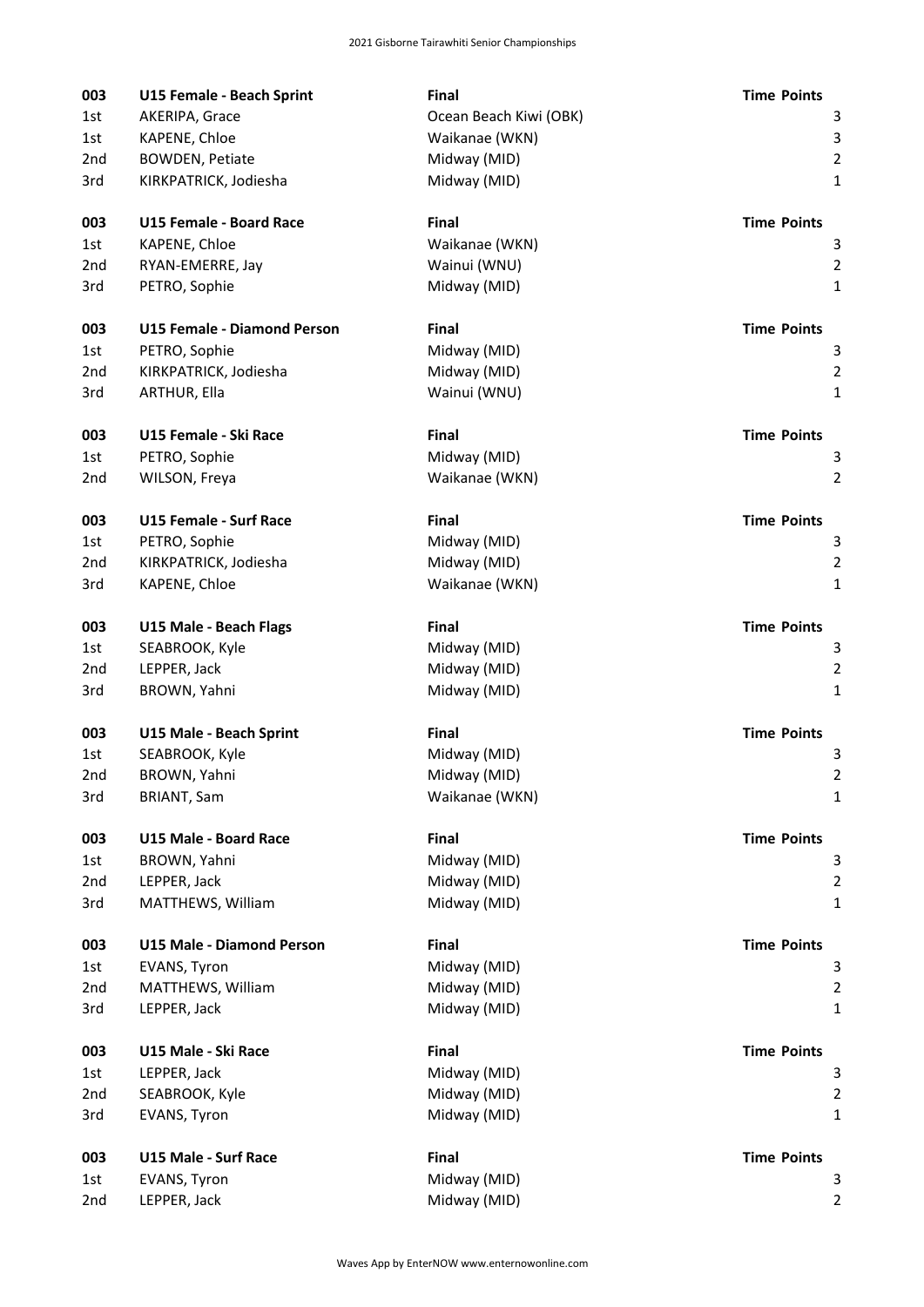| 003             | U15 Female - Beach Sprint     | Final                  | <b>Time Points</b>      |
|-----------------|-------------------------------|------------------------|-------------------------|
| 1st             | AKERIPA, Grace                | Ocean Beach Kiwi (OBK) | 3                       |
| 1st             | KAPENE, Chloe                 | Waikanae (WKN)         | 3                       |
| 2 <sub>nd</sub> | <b>BOWDEN, Petiate</b>        | Midway (MID)           | $\overline{c}$          |
| 3rd             | KIRKPATRICK, Jodiesha         | Midway (MID)           | $\mathbf{1}$            |
| 003             | U15 Female - Board Race       | Final                  | <b>Time Points</b>      |
| 1st.            | KAPENE, Chloe                 | Waikanae (WKN)         | 3                       |
| 2nd             | RYAN-EMERRE, Jay              | Wainui (WNU)           | $\overline{2}$          |
| 3rd             | PETRO, Sophie                 | Midway (MID)           | 1                       |
| 003             | U15 Female - Diamond Person   | Final                  | <b>Time Points</b>      |
| 1st             | PETRO, Sophie                 | Midway (MID)           | 3                       |
| 2nd             | KIRKPATRICK, Jodiesha         | Midway (MID)           | $\overline{c}$          |
| 3rd             | ARTHUR, Ella                  | Wainui (WNU)           | $\mathbf{1}$            |
| 003             | U15 Female - Ski Race         | Final                  | <b>Time Points</b>      |
| 1st.            | PETRO, Sophie                 | Midway (MID)           | 3                       |
| 2 <sub>nd</sub> | WILSON, Freya                 | Waikanae (WKN)         | $\overline{2}$          |
| 003             | <b>U15 Female - Surf Race</b> | Final                  | <b>Time Points</b>      |
| 1st             | PETRO, Sophie                 | Midway (MID)           | 3                       |
| 2nd             | KIRKPATRICK, Jodiesha         | Midway (MID)           | $\overline{c}$          |
| 3rd             | KAPENE, Chloe                 | Waikanae (WKN)         | $\mathbf{1}$            |
| 003             | U15 Male - Beach Flags        | Final                  | <b>Time Points</b>      |
| 1st             | SEABROOK, Kyle                | Midway (MID)           | 3                       |
| 2nd             | LEPPER, Jack                  | Midway (MID)           | $\overline{c}$          |
| 3rd             | BROWN, Yahni                  | Midway (MID)           | $\mathbf{1}$            |
| 003             | U15 Male - Beach Sprint       | Final                  | <b>Time Points</b>      |
| 1st             | SEABROOK, Kyle                | Midway (MID)           | 3                       |
| 2nd             | BROWN, Yahni                  | Midway (MID)           |                         |
| 3rd             | <b>BRIANT, Sam</b>            | Waikanae (WKN)         | $\mathbf{1}$            |
| 003             | <b>U15 Male - Board Race</b>  | Final                  | <b>Time Points</b>      |
| 1st             | BROWN, Yahni                  | Midway (MID)           | 3                       |
| 2nd             | LEPPER, Jack                  | Midway (MID)           | $\overline{2}$          |
| 3rd             | MATTHEWS, William             | Midway (MID)           | 1                       |
| 003             | U15 Male - Diamond Person     | Final                  | <b>Time Points</b>      |
| 1st             | EVANS, Tyron                  | Midway (MID)           | 3                       |
| 2 <sub>nd</sub> | MATTHEWS, William             | Midway (MID)           | 2                       |
| 3rd             | LEPPER, Jack                  | Midway (MID)           | 1                       |
| 003             | U15 Male - Ski Race           | Final                  | <b>Time Points</b>      |
| 1st             | LEPPER, Jack                  | Midway (MID)           | 3                       |
| 2nd             | SEABROOK, Kyle                | Midway (MID)           | $\overline{\mathbf{c}}$ |
| 3rd             | EVANS, Tyron                  | Midway (MID)           | 1                       |
| 003             | <b>U15 Male - Surf Race</b>   | Final                  | <b>Time Points</b>      |
| 1st             | EVANS, Tyron                  | Midway (MID)           | 3                       |
| 2nd             | LEPPER, Jack                  | Midway (MID)           | $\overline{2}$          |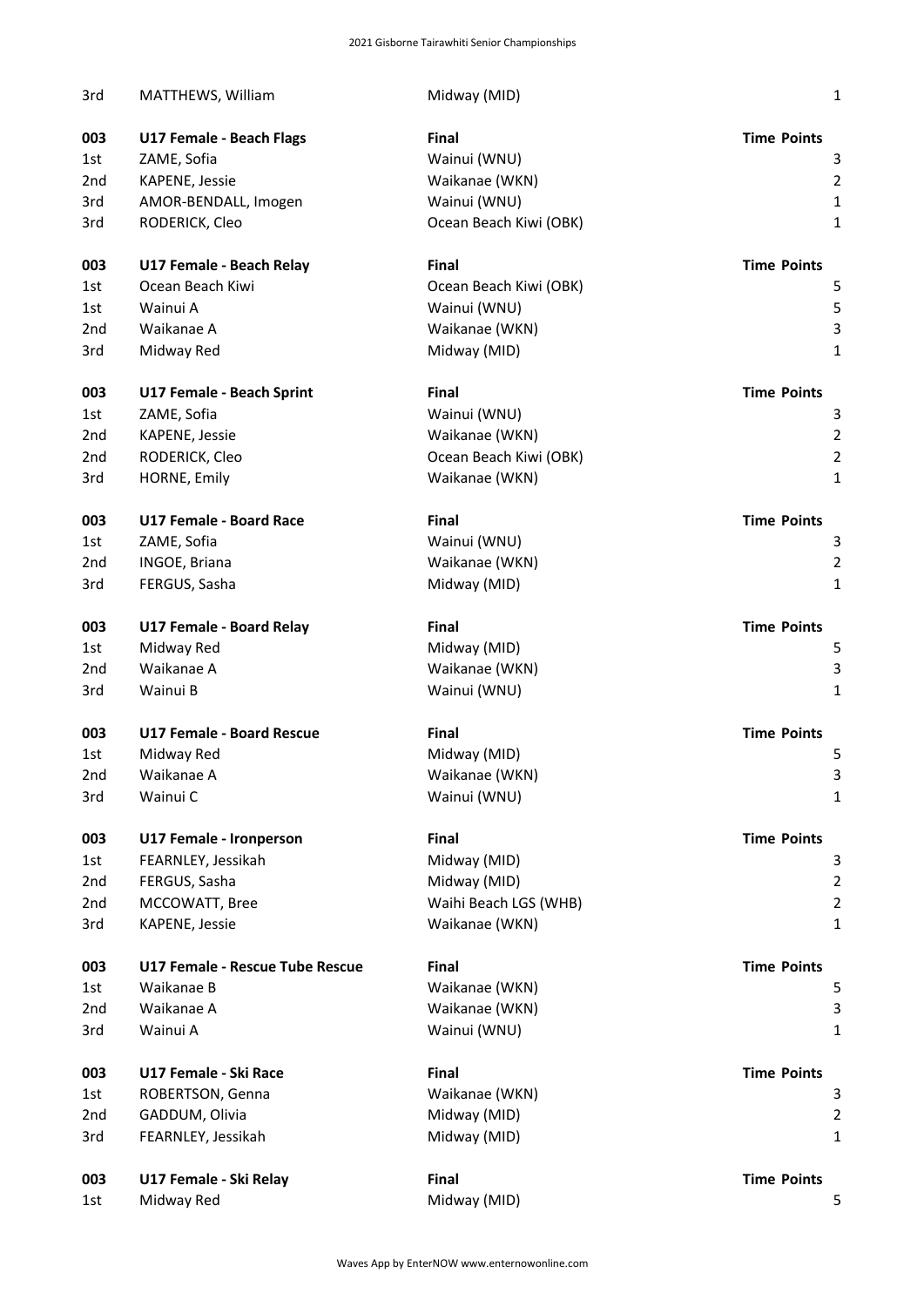| 3rd             | MATTHEWS, William                | Midway (MID)           | $\mathbf 1$        |
|-----------------|----------------------------------|------------------------|--------------------|
| 003             | <b>U17 Female - Beach Flags</b>  | <b>Final</b>           | <b>Time Points</b> |
| 1st             | ZAME, Sofia                      | Wainui (WNU)           | 3                  |
| 2 <sub>nd</sub> | KAPENE, Jessie                   | Waikanae (WKN)         | $\overline{2}$     |
| 3rd             | AMOR-BENDALL, Imogen             | Wainui (WNU)           | $\mathbf 1$        |
| 3rd             | RODERICK, Cleo                   | Ocean Beach Kiwi (OBK) | $\mathbf{1}$       |
| 003             | U17 Female - Beach Relay         | Final                  | <b>Time Points</b> |
| 1st             | Ocean Beach Kiwi                 | Ocean Beach Kiwi (OBK) | 5                  |
| 1st             | Wainui A                         | Wainui (WNU)           | 5                  |
| 2 <sub>nd</sub> | Waikanae A                       | Waikanae (WKN)         | 3                  |
| 3rd             | Midway Red                       | Midway (MID)           | $\mathbf{1}$       |
| 003             | U17 Female - Beach Sprint        | Final                  | <b>Time Points</b> |
| 1st             | ZAME, Sofia                      | Wainui (WNU)           | 3                  |
| 2 <sub>nd</sub> | KAPENE, Jessie                   | Waikanae (WKN)         | $\overline{2}$     |
| 2 <sub>nd</sub> | RODERICK, Cleo                   | Ocean Beach Kiwi (OBK) | $\overline{2}$     |
| 3rd             | HORNE, Emily                     | Waikanae (WKN)         | $\mathbf{1}$       |
| 003             | <b>U17 Female - Board Race</b>   | <b>Final</b>           | <b>Time Points</b> |
| 1st             | ZAME, Sofia                      | Wainui (WNU)           | 3                  |
| 2 <sub>nd</sub> | INGOE, Briana                    | Waikanae (WKN)         | $\overline{2}$     |
| 3rd             | FERGUS, Sasha                    | Midway (MID)           | $\mathbf{1}$       |
| 003             | U17 Female - Board Relay         | Final                  | <b>Time Points</b> |
| 1st             | Midway Red                       | Midway (MID)           | 5                  |
| 2 <sub>nd</sub> | Waikanae A                       | Waikanae (WKN)         | 3                  |
| 3rd             | Wainui B                         | Wainui (WNU)           | $\mathbf{1}$       |
| 003             | <b>U17 Female - Board Rescue</b> | <b>Final</b>           | <b>Time Points</b> |
| 1st             | Midway Red                       | Midway (MID)           | 5                  |
| 2nd             | Waikanae A                       | Waikanae (WKN)         | 3                  |
| 3rd             | Wainui C                         | Wainui (WNU)           | 1                  |
| 003             | U17 Female - Ironperson          | Final                  | <b>Time Points</b> |
| 1st             | FEARNLEY, Jessikah               | Midway (MID)           | 3                  |
| 2 <sub>nd</sub> | FERGUS, Sasha                    | Midway (MID)           | $\overline{2}$     |
| 2nd             | MCCOWATT, Bree                   | Waihi Beach LGS (WHB)  | $\mathbf 2$        |
| 3rd             | KAPENE, Jessie                   | Waikanae (WKN)         | $\mathbf 1$        |
| 003             | U17 Female - Rescue Tube Rescue  | Final                  | <b>Time Points</b> |
| 1st             | Waikanae B                       | Waikanae (WKN)         | 5                  |
| 2nd             | Waikanae A                       | Waikanae (WKN)         | 3                  |
| 3rd             | Wainui A                         | Wainui (WNU)           | $\mathbf{1}$       |
| 003             | U17 Female - Ski Race            | Final                  | <b>Time Points</b> |
| 1st             | ROBERTSON, Genna                 | Waikanae (WKN)         | 3                  |
| 2nd             | GADDUM, Olivia                   | Midway (MID)           | $\overline{2}$     |
| 3rd             | FEARNLEY, Jessikah               | Midway (MID)           | $\mathbf{1}$       |
| 003             | U17 Female - Ski Relay           | Final                  | <b>Time Points</b> |
| 1st             | Midway Red                       | Midway (MID)           | 5                  |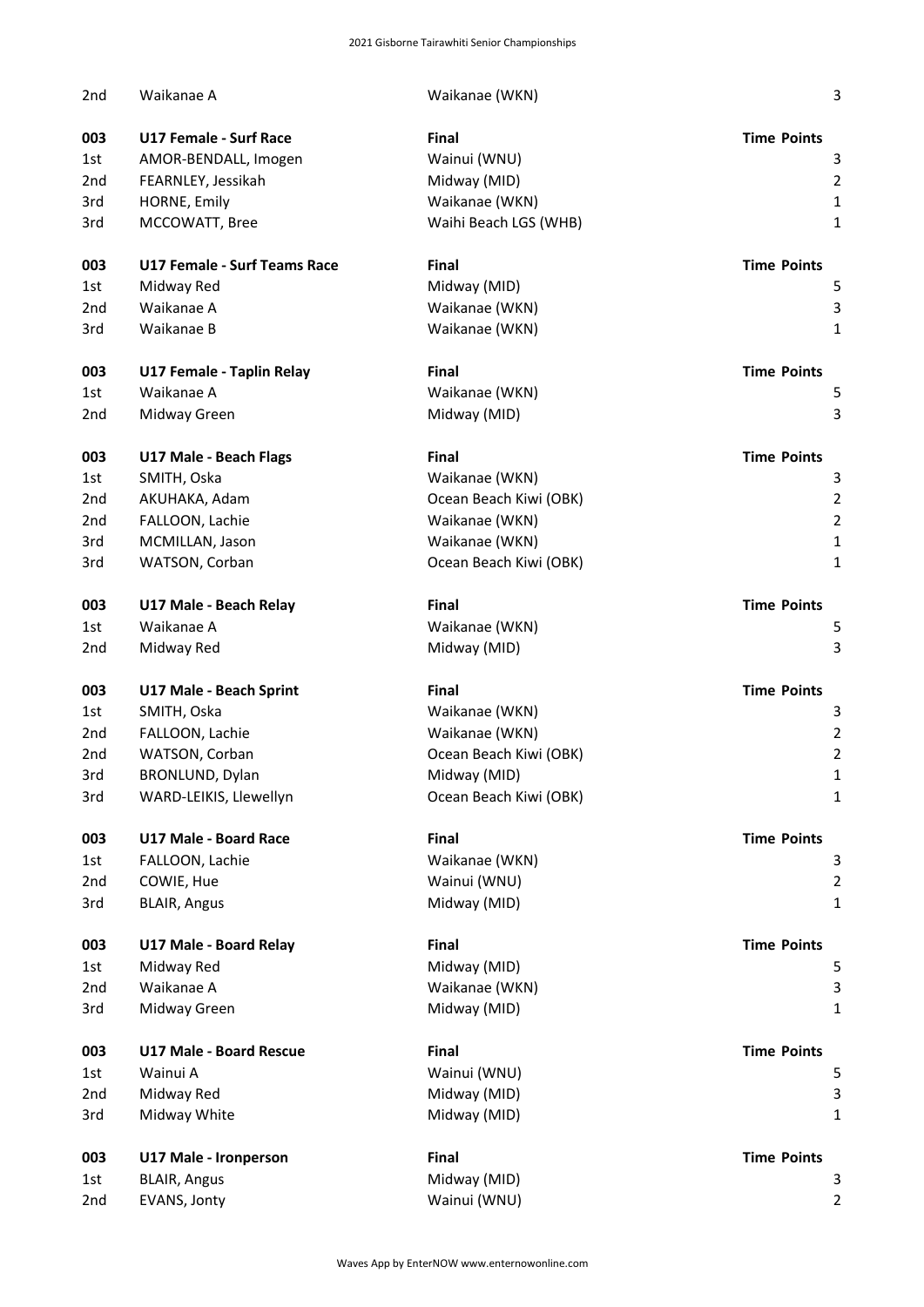| 2 <sub>nd</sub> | Waikanae A                          | Waikanae (WKN)         | 3                       |
|-----------------|-------------------------------------|------------------------|-------------------------|
| 003             | <b>U17 Female - Surf Race</b>       | Final                  | <b>Time Points</b>      |
| 1st             | AMOR-BENDALL, Imogen                | Wainui (WNU)           | 3                       |
| 2 <sub>nd</sub> | FEARNLEY, Jessikah                  | Midway (MID)           | $\overline{\mathbf{c}}$ |
| 3rd             | HORNE, Emily                        | Waikanae (WKN)         | $\mathbf 1$             |
| 3rd             | MCCOWATT, Bree                      | Waihi Beach LGS (WHB)  | 1                       |
| 003             | <b>U17 Female - Surf Teams Race</b> | Final                  | <b>Time Points</b>      |
| 1st             | Midway Red                          | Midway (MID)           | 5                       |
| 2nd             | Waikanae A                          | Waikanae (WKN)         | 3                       |
| 3rd             | Waikanae B                          | Waikanae (WKN)         | $\mathbf{1}$            |
| 003             | U17 Female - Taplin Relay           | Final                  | <b>Time Points</b>      |
| 1st             | Waikanae A                          | Waikanae (WKN)         | 5                       |
| 2nd             | Midway Green                        | Midway (MID)           | 3                       |
| 003             | U17 Male - Beach Flags              | Final                  | <b>Time Points</b>      |
| 1st             | SMITH, Oska                         | Waikanae (WKN)         | 3                       |
| 2 <sub>nd</sub> | AKUHAKA, Adam                       | Ocean Beach Kiwi (OBK) | $\overline{c}$          |
| 2 <sub>nd</sub> | FALLOON, Lachie                     | Waikanae (WKN)         | $\overline{c}$          |
| 3rd             |                                     |                        | $\mathbf 1$             |
|                 | MCMILLAN, Jason                     | Waikanae (WKN)         |                         |
| 3rd             | WATSON, Corban                      | Ocean Beach Kiwi (OBK) | $\mathbf{1}$            |
| 003             | U17 Male - Beach Relay              | Final                  | <b>Time Points</b>      |
| 1st             | Waikanae A                          | Waikanae (WKN)         | 5                       |
| 2 <sub>nd</sub> | Midway Red                          | Midway (MID)           | 3                       |
| 003             | U17 Male - Beach Sprint             | Final                  | <b>Time Points</b>      |
| 1st             | SMITH, Oska                         | Waikanae (WKN)         | 3                       |
| 2 <sub>nd</sub> | FALLOON, Lachie                     | Waikanae (WKN)         | $\overline{c}$          |
| 2nd             | WATSON, Corban                      | Ocean Beach Kiwi (OBK) | $\overline{c}$          |
| 3rd             | BRONLUND, Dylan                     | Midway (MID)           | 1                       |
| 3rd             | WARD-LEIKIS, Llewellyn              | Ocean Beach Kiwi (OBK) | 1                       |
| 003             | U17 Male - Board Race               | Final                  | <b>Time Points</b>      |
| 1st             | FALLOON, Lachie                     | Waikanae (WKN)         | 3                       |
| 2 <sub>nd</sub> | COWIE, Hue                          | Wainui (WNU)           | $\overline{2}$          |
| 3rd             | <b>BLAIR, Angus</b>                 | Midway (MID)           | 1                       |
| 003             | U17 Male - Board Relay              | Final                  | <b>Time Points</b>      |
| 1st             | Midway Red                          | Midway (MID)           | 5                       |
| 2 <sub>nd</sub> | Waikanae A                          | Waikanae (WKN)         | 3                       |
| 3rd             | Midway Green                        | Midway (MID)           | 1                       |
| 003             | <b>U17 Male - Board Rescue</b>      | Final                  | <b>Time Points</b>      |
| 1st             | Wainui A                            | Wainui (WNU)           | 5                       |
| 2 <sub>nd</sub> | Midway Red                          | Midway (MID)           | 3                       |
| 3rd             | Midway White                        | Midway (MID)           | 1                       |
| 003             | U17 Male - Ironperson               | Final                  | <b>Time Points</b>      |
| 1st             | <b>BLAIR, Angus</b>                 | Midway (MID)           | 3                       |
| 2nd             | EVANS, Jonty                        | Wainui (WNU)           | 2                       |
|                 |                                     |                        |                         |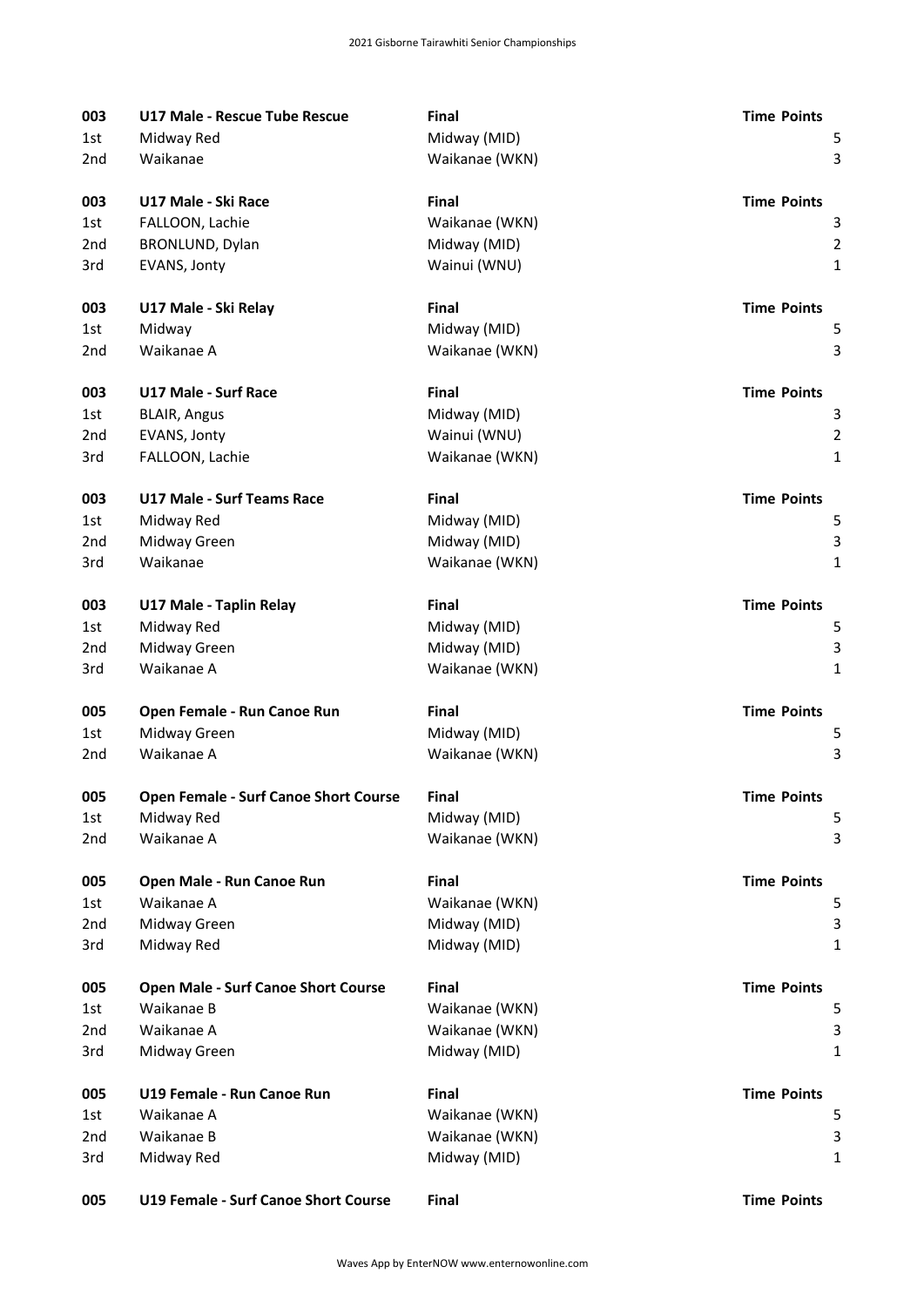| 003             | U17 Male - Rescue Tube Rescue         | Final          | <b>Time Points</b> |
|-----------------|---------------------------------------|----------------|--------------------|
| 1st             | Midway Red                            | Midway (MID)   | 5                  |
| 2nd             | Waikanae                              | Waikanae (WKN) | 3                  |
| 003             | U17 Male - Ski Race                   | <b>Final</b>   | <b>Time Points</b> |
| 1st             | FALLOON, Lachie                       | Waikanae (WKN) | 3                  |
| 2 <sub>nd</sub> | BRONLUND, Dylan                       | Midway (MID)   | $\overline{2}$     |
| 3rd             | EVANS, Jonty                          | Wainui (WNU)   | $\mathbf{1}$       |
| 003             | U17 Male - Ski Relay                  | Final          | <b>Time Points</b> |
| 1st             | Midway                                | Midway (MID)   | 5                  |
| 2nd             | Waikanae A                            | Waikanae (WKN) | $\mathbf{3}$       |
| 003             | <b>U17 Male - Surf Race</b>           | Final          | <b>Time Points</b> |
| 1st             | <b>BLAIR, Angus</b>                   | Midway (MID)   | 3                  |
| 2 <sub>nd</sub> | EVANS, Jonty                          | Wainui (WNU)   | $\overline{2}$     |
| 3rd             | FALLOON, Lachie                       | Waikanae (WKN) | $\mathbf{1}$       |
| 003             | <b>U17 Male - Surf Teams Race</b>     | Final          | <b>Time Points</b> |
| 1st             | Midway Red                            | Midway (MID)   | 5                  |
| 2 <sub>nd</sub> | Midway Green                          | Midway (MID)   | $\mathsf{3}$       |
| 3rd             | Waikanae                              | Waikanae (WKN) | $\mathbf{1}$       |
| 003             | U17 Male - Taplin Relay               | Final          | <b>Time Points</b> |
| 1st             | Midway Red                            | Midway (MID)   | 5                  |
| 2 <sub>nd</sub> | Midway Green                          | Midway (MID)   | $\mathsf 3$        |
| 3rd             | Waikanae A                            | Waikanae (WKN) | $\mathbf{1}$       |
| 005             | Open Female - Run Canoe Run           | Final          | <b>Time Points</b> |
| 1st             | Midway Green                          | Midway (MID)   | 5                  |
| 2 <sub>nd</sub> | Waikanae A                            | Waikanae (WKN) | 3                  |
| 005             | Open Female - Surf Canoe Short Course | Final          | <b>Time Points</b> |
| 1st             | Midway Red                            | Midway (MID)   | 5                  |
| 2nd             | Waikanae A                            | Waikanae (WKN) | 3                  |
| 005             | Open Male - Run Canoe Run             | Final          | <b>Time Points</b> |
| 1st             | Waikanae A                            | Waikanae (WKN) | 5                  |
| 2 <sub>nd</sub> | Midway Green                          | Midway (MID)   | 3                  |
| 3rd             | Midway Red                            | Midway (MID)   | 1                  |
| 005             | Open Male - Surf Canoe Short Course   | Final          | <b>Time Points</b> |
| 1st             | Waikanae B                            | Waikanae (WKN) | 5                  |
| 2nd             | Waikanae A                            | Waikanae (WKN) | 3                  |
| 3rd             | Midway Green                          | Midway (MID)   | $\mathbf{1}$       |
| 005             | U19 Female - Run Canoe Run            | Final          | <b>Time Points</b> |
| 1st             | Waikanae A                            | Waikanae (WKN) | 5                  |
| 2nd             | Waikanae B                            | Waikanae (WKN) | 3                  |
| 3rd             | Midway Red                            | Midway (MID)   | $\mathbf{1}$       |
| 005             | U19 Female - Surf Canoe Short Course  | Final          | <b>Time Points</b> |